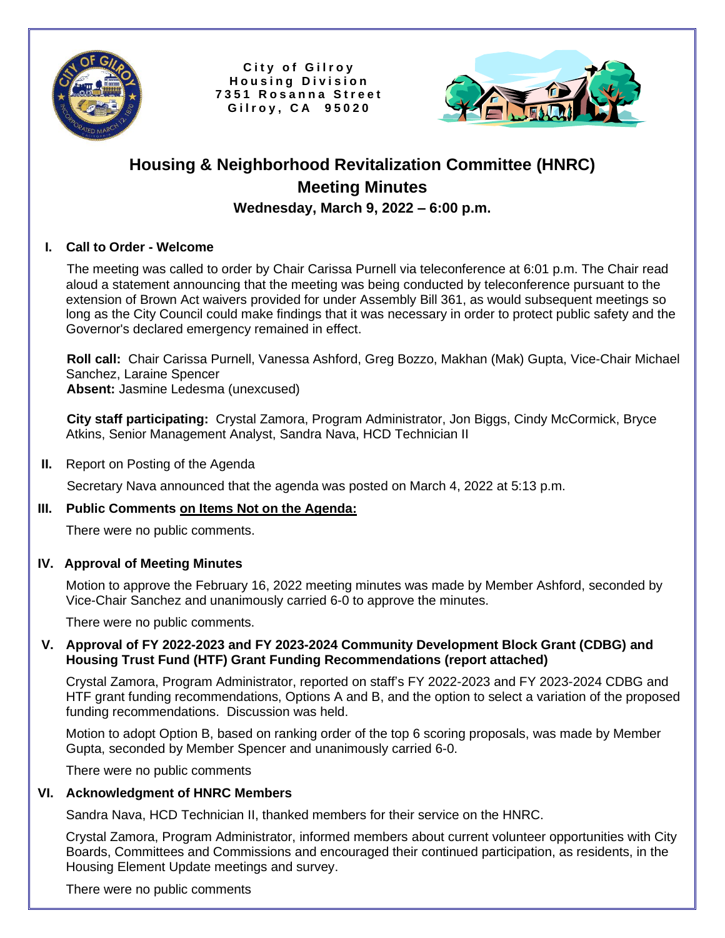

City of Gilroy **H o u s i n g D i v i s i o n 7 3 5 1 R o s a n n a S t r e e t G i l r o y , C A 9 5 0 2 0**



# **Housing & Neighborhood Revitalization Committee (HNRC) Meeting Minutes Wednesday, March 9, 2022 – 6:00 p.m.**

## **I. Call to Order - Welcome**

 The meeting was called to order by Chair Carissa Purnell via teleconference at 6:01 p.m. The Chair read aloud a statement announcing that the meeting was being conducted by teleconference pursuant to the extension of Brown Act waivers provided for under Assembly Bill 361, as would subsequent meetings so long as the City Council could make findings that it was necessary in order to protect public safety and the Governor's declared emergency remained in effect.

 **Roll call:** Chair Carissa Purnell, Vanessa Ashford, Greg Bozzo, Makhan (Mak) Gupta, Vice-Chair Michael Sanchez, Laraine Spencer  **Absent:** Jasmine Ledesma (unexcused)

 **City staff participating:** Crystal Zamora, Program Administrator, Jon Biggs, Cindy McCormick, Bryce Atkins, Senior Management Analyst, Sandra Nava, HCD Technician II

 **II.** Report on Posting of the Agenda

Secretary Nava announced that the agenda was posted on March 4, 2022 at 5:13 p.m.

#### **III. Public Comments on Items Not on the Agenda:**

There were no public comments.

#### **IV. Approval of Meeting Minutes**

Motion to approve the February 16, 2022 meeting minutes was made by Member Ashford, seconded by Vice-Chair Sanchez and unanimously carried 6-0 to approve the minutes.

There were no public comments.

#### **V. Approval of FY 2022-2023 and FY 2023-2024 Community Development Block Grant (CDBG) and Housing Trust Fund (HTF) Grant Funding Recommendations (report attached)**

Crystal Zamora, Program Administrator, reported on staff's FY 2022-2023 and FY 2023-2024 CDBG and HTF grant funding recommendations, Options A and B, and the option to select a variation of the proposed funding recommendations. Discussion was held.

 Motion to adopt Option B, based on ranking order of the top 6 scoring proposals, was made by Member Gupta, seconded by Member Spencer and unanimously carried 6-0.

There were no public comments

#### **VI. Acknowledgment of HNRC Members**

Sandra Nava, HCD Technician II, thanked members for their service on the HNRC.

 Crystal Zamora, Program Administrator, informed members about current volunteer opportunities with City Boards, Committees and Commissions and encouraged their continued participation, as residents, in the Housing Element Update meetings and survey.

There were no public comments